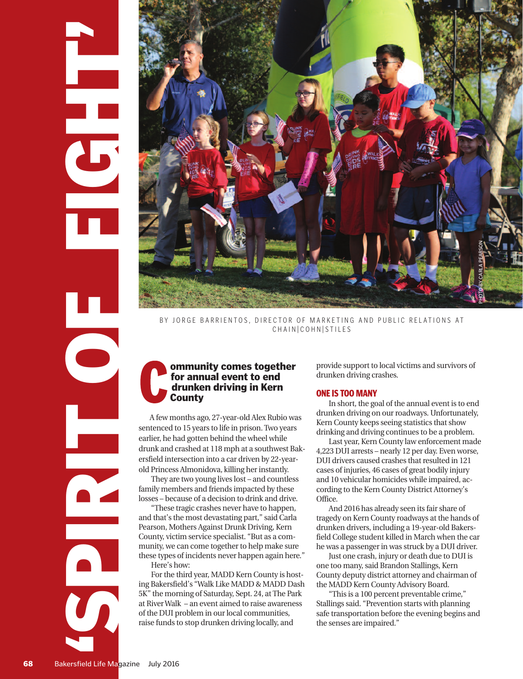

CHAIN COHN STILES

# **ommunity comes together for annual event to end drunken driving in Kern County**

A few months ago, 27-year-old Alex Rubio was sentenced to 15 years to life in prison. Two years earlier, he had gotten behind the wheel while drunk and crashed at 118 mph at a southwest Bakersfield intersection into a car driven by 22-yearold Princess Almonidova, killing her instantly.

They are two young lives lost – and countless family members and friends impacted by these losses – because of a decision to drink and drive.

"These tragic crashes never have to happen, and that's the most devastating part," said Carla Pearson, Mothers Against Drunk Driving, Kern County, victim service specialist. "But as a community, we can come together to help make sure these types of incidents never happen again here." Here's how:

For the third year, MADD Kern County is hosting Bakersfield's "Walk Like MADD & MADD Dash 5K" the morning of Saturday, Sept. 24, at The Park at River Walk – an event aimed to raise awareness of the DUI problem in our local communities, raise funds to stop drunken driving locally, and

provide support to local victims and survivors of drunken driving crashes.

## **ONE IS TOO MANY**

In short, the goal of the annual event is to end drunken driving on our roadways. Unfortunately, Kern County keeps seeing statistics that show drinking and driving continues to be a problem.

Last year, Kern County law enforcement made 4,223 DUI arrests – nearly 12 per day. Even worse, DUI drivers caused crashes that resulted in 121 cases of injuries, 46 cases of great bodily injury and 10 vehicular homicides while impaired, according to the Kern County District Attorney's Office.

And 2016 has already seen its fair share of tragedy on Kern County roadways at the hands of drunken drivers, including a 19-year-old Bakersfield College student killed in March when the car he was a passenger in was struck by a DUI driver.

Just one crash, injury or death due to DUI is one too many, said Brandon Stallings, Kern County deputy district attorney and chairman of the MADD Kern County Advisory Board.

"This is a 100 percent preventable crime," Stallings said. "Prevention starts with planning safe transportation before the evening begins and the senses are impaired."